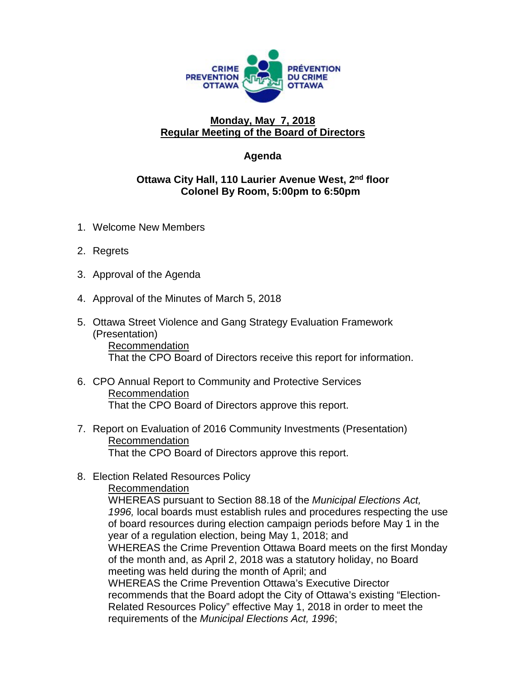

## **Monday, May 7, 2018 Regular Meeting of the Board of Directors**

## **Agenda**

## **Ottawa City Hall, 110 Laurier Avenue West, 2nd floor Colonel By Room, 5:00pm to 6:50pm**

- 1. Welcome New Members
- 2. Regrets
- 3. Approval of the Agenda
- 4. Approval of the Minutes of March 5, 2018
- 5. Ottawa Street Violence and Gang Strategy Evaluation Framework (Presentation) Recommendation That the CPO Board of Directors receive this report for information.
- 6. CPO Annual Report to Community and Protective Services Recommendation That the CPO Board of Directors approve this report.
- 7. Report on Evaluation of 2016 Community Investments (Presentation) Recommendation That the CPO Board of Directors approve this report.
- 8. Election Related Resources Policy

Recommendation

WHEREAS pursuant to Section 88.18 of the *Municipal Elections Act, 1996,* local boards must establish rules and procedures respecting the use of board resources during election campaign periods before May 1 in the year of a regulation election, being May 1, 2018; and WHEREAS the Crime Prevention Ottawa Board meets on the first Monday of the month and, as April 2, 2018 was a statutory holiday, no Board meeting was held during the month of April; and WHEREAS the Crime Prevention Ottawa's Executive Director recommends that the Board adopt the City of Ottawa's existing "Election-Related Resources Policy" effective May 1, 2018 in order to meet the requirements of the *Municipal Elections Act, 1996*;